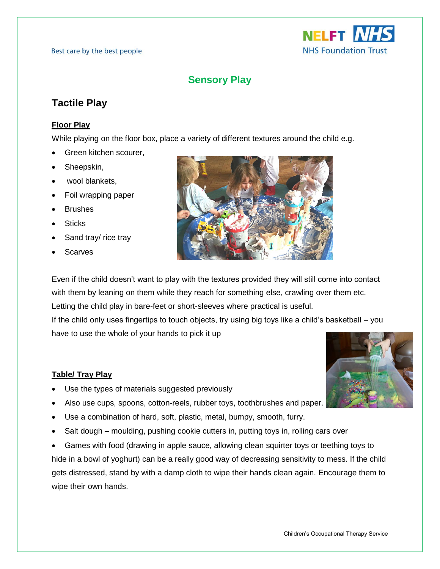

# **Sensory Play**

## **Tactile Play**

### **Floor Play**

While playing on the floor box, place a variety of different textures around the child e.g.

- Green kitchen scourer,
- Sheepskin,
- wool blankets,
- Foil wrapping paper
- Brushes
- Sticks
- Sand tray/ rice tray
- Scarves



Even if the child doesn't want to play with the textures provided they will still come into contact with them by leaning on them while they reach for something else, crawling over them etc. Letting the child play in bare-feet or short-sleeves where practical is useful. If the child only uses fingertips to touch objects, try using big toys like a child's basketball – you have to use the whole of your hands to pick it up

### **Table/ Tray Play**

- Use the types of materials suggested previously
- Also use cups, spoons, cotton-reels, rubber toys, toothbrushes and paper.
- Use a combination of hard, soft, plastic, metal, bumpy, smooth, furry.
- Salt dough moulding, pushing cookie cutters in, putting toys in, rolling cars over

 Games with food (drawing in apple sauce, allowing clean squirter toys or teething toys to hide in a bowl of yoghurt) can be a really good way of decreasing sensitivity to mess. If the child gets distressed, stand by with a damp cloth to wipe their hands clean again. Encourage them to wipe their own hands.

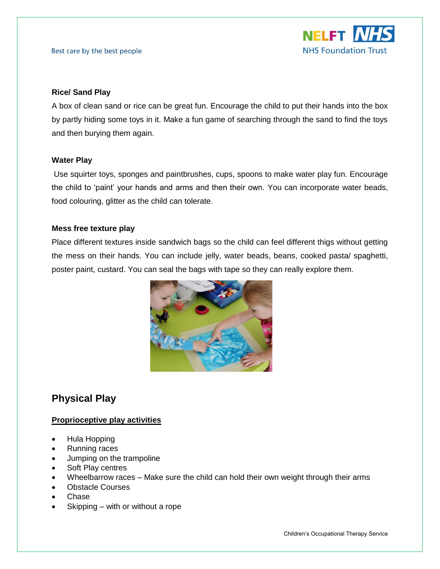#### Best care by the best people

#### **Rice/ Sand Play**

A box of clean sand or rice can be great fun. Encourage the child to put their hands into the box by partly hiding some toys in it. Make a fun game of searching through the sand to find the toys and then burying them again.

#### **Water Play**

Use squirter toys, sponges and paintbrushes, cups, spoons to make water play fun. Encourage the child to 'paint' your hands and arms and then their own. You can incorporate water beads, food colouring, glitter as the child can tolerate.

#### **Mess free texture play**

Place different textures inside sandwich bags so the child can feel different thigs without getting the mess on their hands. You can include jelly, water beads, beans, cooked pasta/ spaghetti, poster paint, custard. You can seal the bags with tape so they can really explore them.



## **Physical Play**

### **Proprioceptive play activities**

- Hula Hopping
- Running races
- Jumping on the trampoline
- Soft Play centres
- Wheelbarrow races Make sure the child can hold their own weight through their arms
- Obstacle Courses
- Chase
- Skipping with or without a rope